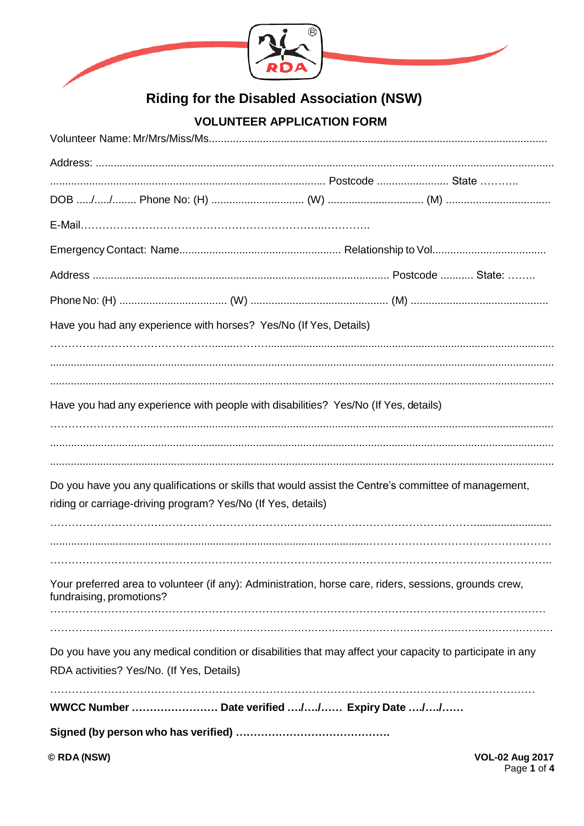

# **Riding for the Disabled Association (NSW)**

# **VOLUNTEER APPLICATION FORM**

| Have you had any experience with horses? Yes/No (If Yes, Details)                                                                  |
|------------------------------------------------------------------------------------------------------------------------------------|
|                                                                                                                                    |
|                                                                                                                                    |
|                                                                                                                                    |
| Have you had any experience with people with disabilities? Yes/No (If Yes, details)                                                |
|                                                                                                                                    |
|                                                                                                                                    |
| Do you have you any qualifications or skills that would assist the Centre's committee of management,                               |
| riding or carriage-driving program? Yes/No (If Yes, details)                                                                       |
|                                                                                                                                    |
|                                                                                                                                    |
|                                                                                                                                    |
| Your preferred area to volunteer (if any): Administration, horse care, riders, sessions, grounds crew,<br>fundraising, promotions? |
|                                                                                                                                    |
|                                                                                                                                    |
| Do you have you any medical condition or disabilities that may affect your capacity to participate in any                          |
| RDA activities? Yes/No. (If Yes, Details)                                                                                          |
|                                                                                                                                    |
|                                                                                                                                    |
| © RDA (NSW)<br><b>VOL-02 Aug 2017</b><br>Page 1 of 4                                                                               |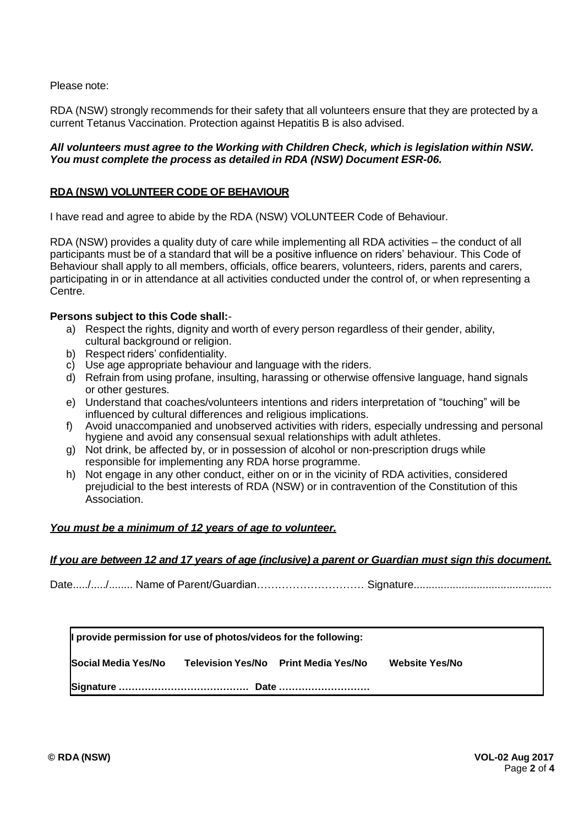Please note:

RDA (NSW) strongly recommends for their safety that all volunteers ensure that they are protected by a current Tetanus Vaccination. Protection against Hepatitis B is also advised.

# *All volunteers must agree to the Working with Children Check, which is legislation within NSW. You must complete the process as detailed in RDA (NSW) Document ESR-06.*

# **RDA (NSW) VOLUNTEER CODE OF BEHAVIOUR**

I have read and agree to abide by the RDA (NSW) VOLUNTEER Code of Behaviour.

RDA (NSW) provides a quality duty of care while implementing all RDA activities – the conduct of all participants must be of a standard that will be a positive influence on riders' behaviour. This Code of Behaviour shall apply to all members, officials, office bearers, volunteers, riders, parents and carers, participating in or in attendance at all activities conducted under the control of, or when representing a Centre.

# **Persons subject to this Code shall:**-

- a) Respect the rights, dignity and worth of every person regardless of their gender, ability, cultural background or religion.
- b) Respect riders' confidentiality.
- c) Use age appropriate behaviour and language with the riders.
- d) Refrain from using profane, insulting, harassing or otherwise offensive language, hand signals or other gestures.
- e) Understand that coaches/volunteers intentions and riders interpretation of "touching" will be influenced by cultural differences and religious implications.
- f) Avoid unaccompanied and unobserved activities with riders, especially undressing and personal hygiene and avoid any consensual sexual relationships with adult athletes.
- g) Not drink, be affected by, or in possession of alcohol or non-prescription drugs while responsible for implementing any RDA horse programme.
- h) Not engage in any other conduct, either on or in the vicinity of RDA activities, considered prejudicial to the best interests of RDA (NSW) or in contravention of the Constitution of this Association.

# *You must be a minimum of 12 years of age to volunteer.*

#### *If you are between 12 and 17 years of age (inclusive) a parent or Guardian must sign this document.*

Date...../...../........ Name of Parent/Guardian………………………… Signature..............................................

**I provide permission for use of photos/videos for the following:** 

**Social Media Yes/No Television Yes/No Print Media Yes/No Website Yes/No**

**Signature …………………………………. Date ……………………….**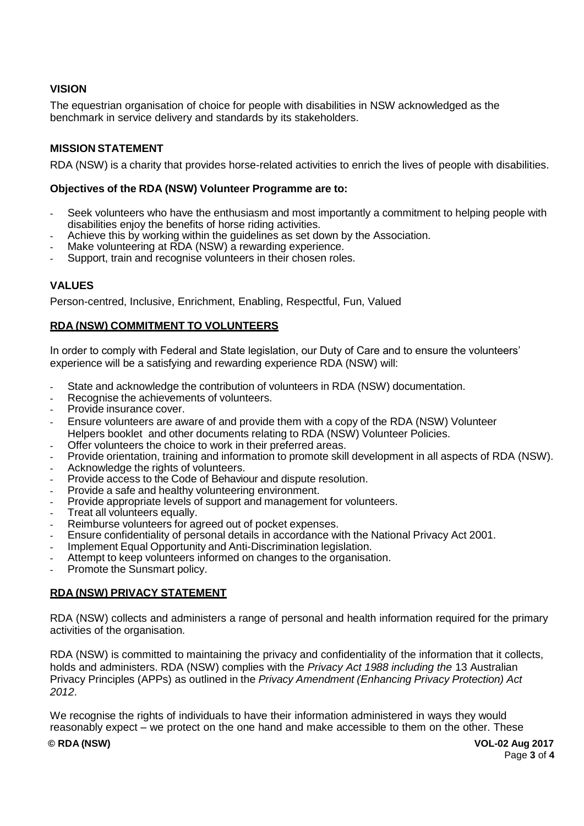# **VISION**

The equestrian organisation of choice for people with disabilities in NSW acknowledged as the benchmark in service delivery and standards by its stakeholders.

# **MISSION STATEMENT**

RDA (NSW) is a charity that provides horse-related activities to enrich the lives of people with disabilities.

#### **Objectives of the RDA (NSW) Volunteer Programme are to:**

- Seek volunteers who have the enthusiasm and most importantly a commitment to helping people with disabilities enjoy the benefits of horse riding activities.
- Achieve this by working within the guidelines as set down by the Association.
- Make volunteering at RDA (NSW) a rewarding experience.
- Support, train and recognise volunteers in their chosen roles.

# **VALUES**

Person-centred, Inclusive, Enrichment, Enabling, Respectful, Fun, Valued

#### **RDA (NSW) COMMITMENT TO VOLUNTEERS**

In order to comply with Federal and State legislation, our Duty of Care and to ensure the volunteers' experience will be a satisfying and rewarding experience RDA (NSW) will:

- State and acknowledge the contribution of volunteers in RDA (NSW) documentation.
- Recognise the achievements of volunteers.
- Provide insurance cover.
- Ensure volunteers are aware of and provide them with a copy of the RDA (NSW) Volunteer Helpers booklet and other documents relating to RDA (NSW) Volunteer Policies.
- Offer volunteers the choice to work in their preferred areas.
- Provide orientation, training and information to promote skill development in all aspects of RDA (NSW).
- Acknowledge the rights of volunteers.
- Provide access to the Code of Behaviour and dispute resolution.
- Provide a safe and healthy volunteering environment.
- Provide appropriate levels of support and management for volunteers.
- Treat all volunteers equally.
- Reimburse volunteers for agreed out of pocket expenses.
- Ensure confidentiality of personal details in accordance with the National Privacy Act 2001.
- Implement Equal Opportunity and Anti-Discrimination legislation.
- Attempt to keep volunteers informed on changes to the organisation.
- Promote the Sunsmart policy.

# **RDA (NSW) PRIVACY STATEMENT**

RDA (NSW) collects and administers a range of personal and health information required for the primary activities of the organisation.

RDA (NSW) is committed to maintaining the privacy and confidentiality of the information that it collects, holds and administers. RDA (NSW) complies with the *Privacy Act 1988 including the* 13 Australian Privacy Principles (APPs) as outlined in the *Privacy Amendment (Enhancing Privacy Protection) Act 2012*.

We recognise the rights of individuals to have their information administered in ways they would reasonably expect – we protect on the one hand and make accessible to them on the other. These